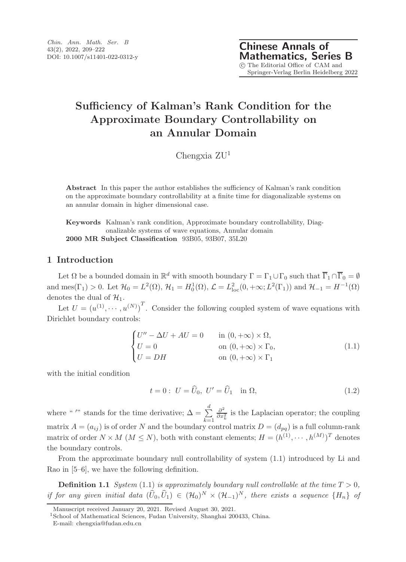# Sufficiency of Kalman's Rank Condition for the Approximate Boundary Controllability on an Annular Domain

Chengxia  $ZU<sup>1</sup>$ 

Abstract In this paper the author establishes the sufficiency of Kalman's rank condition on the approximate boundary controllability at a finite time for diagonalizable systems on an annular domain in higher dimensional case.

Keywords Kalman's rank condition, Approximate boundary controllability, Diagonalizable systems of wave equations, Annular domain 2000 MR Subject Classification 93B05, 93B07, 35L20

## 1 Introduction

Let  $\Omega$  be a bounded domain in  $\mathbb{R}^d$  with smooth boundary  $\Gamma = \Gamma_1 \cup \Gamma_0$  such that  $\overline{\Gamma}_1 \cap \overline{\Gamma}_0 = \emptyset$ and mes( $\Gamma_1$ ) > 0. Let  $\mathcal{H}_0 = L^2(\Omega)$ ,  $\mathcal{H}_1 = H_0^1(\Omega)$ ,  $\mathcal{L} = L^2_{loc}(0, +\infty; L^2(\Gamma_1))$  and  $\mathcal{H}_{-1} = H^{-1}(\Omega)$ denotes the dual of  $\mathcal{H}_1$ .

Let  $U = (u^{(1)}, \dots, u^{(N)})^T$ . Consider the following coupled system of wave equations with Dirichlet boundary controls:

$$
\begin{cases}\nU'' - \Delta U + AU = 0 & \text{in } (0, +\infty) \times \Omega, \\
U = 0 & \text{on } (0, +\infty) \times \Gamma_0, \\
U = DH & \text{on } (0, +\infty) \times \Gamma_1\n\end{cases}
$$
\n(1.1)

with the initial condition

$$
t = 0: U = \widehat{U}_0, U' = \widehat{U}_1 \text{ in } \Omega,
$$
\n
$$
(1.2)
$$

where " '" stands for the time derivative;  $\Delta = \sum_{n=1}^{d}$  $k=1$  $\partial^2$  $\frac{\partial^2}{\partial x^2}$  is the Laplacian operator; the coupling matrix  $A = (a_{ij})$  is of order N and the boundary control matrix  $D = (d_{pq})$  is a full column-rank matrix of order  $N \times M$   $(M \leq N)$ , both with constant elements;  $H = (h^{(1)}, \dots, h^{(M)})^T$  denotes the boundary controls.

From the approximate boundary null controllability of system (1.1) introduced by Li and Rao in [5–6], we have the following definition.

**Definition 1.1** System (1.1) is approximately boundary null controllable at the time  $T > 0$ , if for any given initial data  $(\hat{U}_0, \hat{U}_1) \in (\mathcal{H}_0)^N \times (\mathcal{H}_{-1})^N$ , there exists a sequence  $\{H_n\}$  of

Manuscript received January 20, 2021. Revised August 30, 2021.

 ${}^{1}\mathrm{School}$  of Mathematical Sciences, Fudan University, Shanghai 200433, China.

E-mail: chengxia@fudan.edu.cn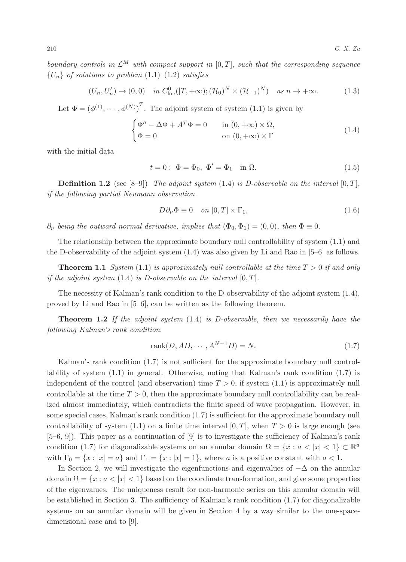boundary controls in  $\mathcal{L}^M$  with compact support in  $[0, T]$ , such that the corresponding sequence  ${U_n}$  of solutions to problem  $(1.1)$ – $(1.2)$  satisfies

$$
(U_n, U'_n) \to (0, 0) \quad \text{in } C^0_{loc}([T, +\infty); (\mathcal{H}_0)^N \times (\mathcal{H}_{-1})^N) \quad \text{as } n \to +\infty. \tag{1.3}
$$

Let  $\Phi = (\phi^{(1)}, \dots, \phi^{(N)})^T$ . The adjoint system of system (1.1) is given by

$$
\begin{cases} \Phi'' - \Delta \Phi + A^T \Phi = 0 & \text{in } (0, +\infty) \times \Omega, \\ \Phi = 0 & \text{on } (0, +\infty) \times \Gamma \end{cases}
$$
(1.4)

with the initial data

$$
t = 0: \Phi = \Phi_0, \ \Phi' = \Phi_1 \quad \text{in } \Omega. \tag{1.5}
$$

**Definition 1.2** (see [8-9]) The adjoint system (1.4) is D-observable on the interval  $[0, T]$ , if the following partial Neumann observation

$$
D\partial_{\nu}\Phi \equiv 0 \quad on \ [0,T] \times \Gamma_1,\tag{1.6}
$$

 $\partial_{\nu}$  being the outward normal derivative, implies that  $(\Phi_0, \Phi_1) = (0, 0)$ , then  $\Phi \equiv 0$ .

The relationship between the approximate boundary null controllability of system (1.1) and the D-observability of the adjoint system (1.4) was also given by Li and Rao in [5–6] as follows.

**Theorem 1.1** System (1.1) is approximately null controllable at the time  $T > 0$  if and only if the adjoint system  $(1.4)$  is D-observable on the interval  $[0, T]$ .

The necessity of Kalman's rank condition to the D-observability of the adjoint system (1.4), proved by Li and Rao in [5–6], can be written as the following theorem.

**Theorem 1.2** If the adjoint system  $(1.4)$  is D-observable, then we necessarily have the following Kalman's rank condition:

$$
rank(D, AD, \cdots, A^{N-1}D) = N.
$$
\n
$$
(1.7)
$$

Kalman's rank condition (1.7) is not sufficient for the approximate boundary null controllability of system (1.1) in general. Otherwise, noting that Kalman's rank condition (1.7) is independent of the control (and observation) time  $T > 0$ , if system  $(1.1)$  is approximately null controllable at the time  $T > 0$ , then the approximate boundary null controllability can be realized almost immediately, which contradicts the finite speed of wave propagation. However, in some special cases, Kalman's rank condition (1.7) is sufficient for the approximate boundary null controllability of system (1.1) on a finite time interval  $[0, T]$ , when  $T > 0$  is large enough (see [5–6, 9]). This paper as a continuation of [9] is to investigate the sufficiency of Kalman's rank condition (1.7) for diagonalizable systems on an annular domain  $\Omega = \{x : a < |x| < 1\} \subset \mathbb{R}^d$ with  $\Gamma_0 = \{x : |x| = a\}$  and  $\Gamma_1 = \{x : |x| = 1\}$ , where a is a positive constant with  $a < 1$ .

In Section 2, we will investigate the eigenfunctions and eigenvalues of  $-\Delta$  on the annular domain  $\Omega = \{x : a < |x| < 1\}$  based on the coordinate transformation, and give some properties of the eigenvalues. The uniqueness result for non-harmonic series on this annular domain will be established in Section 3. The sufficiency of Kalman's rank condition (1.7) for diagonalizable systems on an annular domain will be given in Section 4 by a way similar to the one-spacedimensional case and to [9].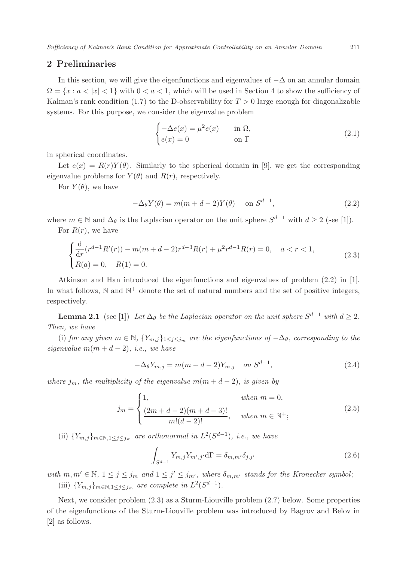## 2 Preliminaries

In this section, we will give the eigenfunctions and eigenvalues of  $-\Delta$  on an annular domain  $\Omega = \{x : a < |x| < 1\}$  with  $0 < a < 1$ , which will be used in Section 4 to show the sufficiency of Kalman's rank condition (1.7) to the D-observability for  $T > 0$  large enough for diagonalizable systems. For this purpose, we consider the eigenvalue problem

$$
\begin{cases}\n-\Delta e(x) = \mu^2 e(x) & \text{in } \Omega, \\
e(x) = 0 & \text{on } \Gamma\n\end{cases}
$$
\n(2.1)

in spherical coordinates.

Let  $e(x) = R(r)Y(\theta)$ . Similarly to the spherical domain in [9], we get the corresponding eigenvalue problems for  $Y(\theta)$  and  $R(r)$ , respectively.

For  $Y(\theta)$ , we have

$$
-\Delta_{\theta} Y(\theta) = m(m + d - 2)Y(\theta) \quad \text{on } S^{d-1},\tag{2.2}
$$

where  $m \in \mathbb{N}$  and  $\Delta_{\theta}$  is the Laplacian operator on the unit sphere  $S^{d-1}$  with  $d \geq 2$  (see [1]). For  $R(r)$ , we have

$$
\begin{cases} \frac{\mathrm{d}}{\mathrm{d}r} (r^{d-1} R'(r)) - m(m+d-2)r^{d-3} R(r) + \mu^2 r^{d-1} R(r) = 0, \quad a < r < 1, \\ R(a) = 0, \quad R(1) = 0. \end{cases}
$$
(2.3)

Atkinson and Han introduced the eigenfunctions and eigenvalues of problem (2.2) in [1]. In what follows,  $\mathbb N$  and  $\mathbb N^+$  denote the set of natural numbers and the set of positive integers, respectively.

**Lemma 2.1** (see [1]) Let  $\Delta_{\theta}$  be the Laplacian operator on the unit sphere  $S^{d-1}$  with  $d \geq 2$ . Then, we have

(i) for any given  $m \in \mathbb{N}$ ,  $\{Y_{m,j}\}_{1\leq j\leq j_m}$  are the eigenfunctions of  $-\Delta_{\theta}$ , corresponding to the eigenvalue  $m(m + d - 2)$ , i.e., we have

$$
-\Delta_{\theta} Y_{m,j} = m(m+d-2)Y_{m,j} \quad on \ S^{d-1},
$$
\n(2.4)

where  $j_m$ , the multiplicity of the eigenvalue  $m(m + d - 2)$ , is given by

$$
j_m = \begin{cases} 1, & when \ m = 0, \\ \frac{(2m+d-2)(m+d-3)!}{m!(d-2)!}, & when \ m \in \mathbb{N}^+; \end{cases}
$$
 (2.5)

(ii)  $\{Y_{m,j}\}_{m \in \mathbb{N}, 1 \leq j \leq j_m}$  are orthonormal in  $L^2(S^{d-1})$ , i.e., we have

$$
\int_{S^{d-1}} Y_{m,j} Y_{m',j'} d\Gamma = \delta_{m,m'} \delta_{j,j'}
$$
\n(2.6)

with  $m, m' \in \mathbb{N}, 1 \leq j \leq j_m$  and  $1 \leq j' \leq j_{m'}$ , where  $\delta_{m,m'}$  stands for the Kronecker symbol; (iii)  $\{Y_{m,j}\}_{m \in \mathbb{N}, 1 \leq j \leq j_m}$  are complete in  $L^2(S^{d-1})$ .

Next, we consider problem (2.3) as a Sturm-Liouville problem (2.7) below. Some properties of the eigenfunctions of the Sturm-Liouville problem was introduced by Bagrov and Belov in [2] as follows.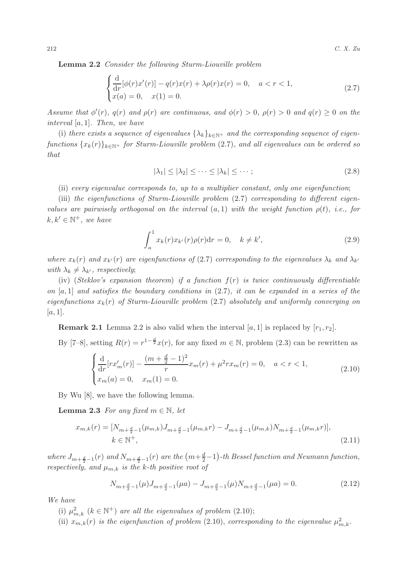Lemma 2.2 Consider the following Sturm-Liouville problem

$$
\begin{cases} \frac{d}{dr}[\phi(r)x'(r)] - q(r)x(r) + \lambda \rho(r)x(r) = 0, \quad a < r < 1, \\ x(a) = 0, \quad x(1) = 0. \end{cases}
$$
\n(2.7)

Assume that  $\phi'(r)$ ,  $q(r)$  and  $\rho(r)$  are continuous, and  $\phi(r) > 0$ ,  $\rho(r) > 0$  and  $q(r) \ge 0$  on the interval [a, 1]. Then, we have

(i) there exists a sequence of eigenvalues  $\{\lambda_k\}_{k\in\mathbb{N}^+}$  and the corresponding sequence of eigenfunctions  ${x_k(r)}_{k\in\mathbb{N}^+}$  for Sturm-Liouville problem (2.7), and all eigenvalues can be ordered so that

$$
|\lambda_1| \le |\lambda_2| \le \dots \le |\lambda_k| \le \dots ; \tag{2.8}
$$

(ii) every eigenvalue corresponds to, up to a multiplier constant, only one eigenfunction;

(iii) the eigenfunctions of Sturm-Liouville problem (2.7) corresponding to different eigenvalues are pairwisely orthogonal on the interval  $(a, 1)$  with the weight function  $\rho(t)$ , i.e., for  $k, k' \in \mathbb{N}^+, we have$ 

$$
\int_{a}^{1} x_{k}(r)x_{k'}(r)\rho(r)dr = 0, \quad k \neq k',
$$
\n(2.9)

where  $x_k(r)$  and  $x_{k'}(r)$  are eigenfunctions of (2.7) corresponding to the eigenvalues  $\lambda_k$  and  $\lambda_{k'}$ with  $\lambda_k \neq \lambda_{k'}$ , respectively;

(iv) (Steklov's expansion theorem) if a function  $f(r)$  is twice continuously differentiable on  $[a, 1]$  and satisfies the boundary conditions in  $(2.7)$ , it can be expanded in a series of the eigenfunctions  $x_k(r)$  of Sturm-Liouville problem (2.7) absolutely and uniformly converging on  $[a, 1]$ .

**Remark 2.1** Lemma 2.2 is also valid when the interval  $[a, 1]$  is replaced by  $[r_1, r_2]$ .

By [7–8], setting  $R(r) = r^{1-\frac{d}{2}}x(r)$ , for any fixed  $m \in \mathbb{N}$ , problem (2.3) can be rewritten as

$$
\begin{cases}\n\frac{\mathrm{d}}{\mathrm{d}r}[rx'_{m}(r)] - \frac{(m + \frac{d}{2} - 1)^{2}}{r}x_{m}(r) + \mu^{2}rx_{m}(r) = 0, \quad a < r < 1, \\
x_{m}(a) = 0, \quad x_{m}(1) = 0.\n\end{cases}
$$
\n(2.10)

By Wu [8], we have the following lemma.

**Lemma 2.3** For any fixed  $m \in \mathbb{N}$ , let

$$
x_{m,k}(r) = [N_{m+\frac{d}{2}-1}(\mu_{m,k})J_{m+\frac{d}{2}-1}(\mu_{m,k}r) - J_{m+\frac{d}{2}-1}(\mu_{m,k})N_{m+\frac{d}{2}-1}(\mu_{m,k}r)],
$$
  
\n
$$
k \in \mathbb{N}^+,
$$
\n(2.11)

where  $J_{m+\frac{d}{2}-1}(r)$  and  $N_{m+\frac{d}{2}-1}(r)$  are the  $\left(m+\frac{d}{2}-1\right)$ -th Bessel function and Neumann function, respectively, and  $\mu_{m,k}$  is the k-th positive root of

$$
N_{m+\frac{d}{2}-1}(\mu)J_{m+\frac{d}{2}-1}(\mu a) - J_{m+\frac{d}{2}-1}(\mu)N_{m+\frac{d}{2}-1}(\mu a) = 0.
$$
\n(2.12)

We have

(i)  $\mu_{m,k}^2$   $(k \in \mathbb{N}^+)$  are all the eigenvalues of problem (2.10);

(ii)  $x_{m,k}(r)$  is the eigenfunction of problem (2.10), corresponding to the eigenvalue  $\mu_{m,k}^2$ .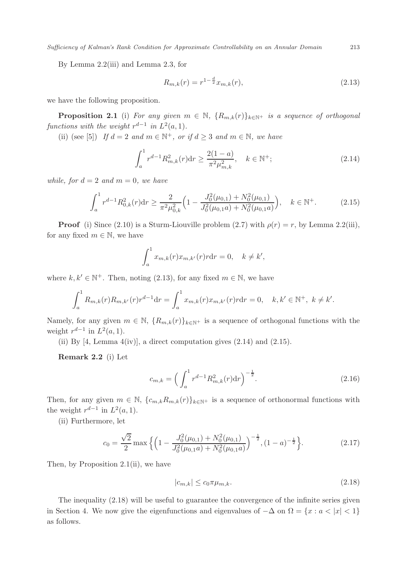Sufficiency of Kalman's Rank Condition for Approximate Controllability on an Annular Domain 213

By Lemma 2.2(iii) and Lemma 2.3, for

$$
R_{m,k}(r) = r^{1 - \frac{d}{2}} x_{m,k}(r),\tag{2.13}
$$

we have the following proposition.

**Proposition 2.1** (i) For any given  $m \in \mathbb{N}$ ,  $\{R_{m,k}(r)\}_{k\in\mathbb{N}^+}$  is a sequence of orthogonal functions with the weight  $r^{d-1}$  in  $L^2(a, 1)$ .

(ii) (see [5]) If  $d = 2$  and  $m \in \mathbb{N}^+$ , or if  $d \geq 3$  and  $m \in \mathbb{N}$ , we have

$$
\int_{a}^{1} r^{d-1} R_{m,k}^{2}(r) dr \ge \frac{2(1-a)}{\pi^{2} \mu_{m,k}^{2}}, \quad k \in \mathbb{N}^{+};
$$
\n(2.14)

while, for  $d = 2$  and  $m = 0$ , we have

$$
\int_{a}^{1} r^{d-1} R_{0,k}^{2}(r) dr \ge \frac{2}{\pi^{2} \mu_{0,k}^{2}} \Big( 1 - \frac{J_{0}^{2}(\mu_{0,1}) + N_{0}^{2}(\mu_{0,1})}{J_{0}^{2}(\mu_{0,1} a) + N_{0}^{2}(\mu_{0,1} a)} \Big), \quad k \in \mathbb{N}^{+}.
$$
 (2.15)

**Proof** (i) Since (2.10) is a Sturm-Liouville problem (2.7) with  $\rho(r) = r$ , by Lemma 2.2(iii), for any fixed  $m \in \mathbb{N}$ , we have

$$
\int_a^1 x_{m,k}(r)x_{m,k'}(r)r dr = 0, \quad k \neq k',
$$

where  $k, k' \in \mathbb{N}^+$ . Then, noting (2.13), for any fixed  $m \in \mathbb{N}$ , we have

$$
\int_{a}^{1} R_{m,k}(r) R_{m,k'}(r) r^{d-1} dr = \int_{a}^{1} x_{m,k}(r) x_{m,k'}(r) r dr = 0, \quad k, k' \in \mathbb{N}^{+}, \ k \neq k'.
$$

Namely, for any given  $m \in \mathbb{N}$ ,  $\{R_{m,k}(r)\}_{k\in\mathbb{N}^+}$  is a sequence of orthogonal functions with the weight  $r^{d-1}$  in  $L^2(a, 1)$ .

(ii) By  $[4, \text{ Lemma } 4\text{ (iv)}],$  a direct computation gives  $(2.14)$  and  $(2.15).$ 

Remark 2.2 (i) Let

$$
c_{m,k} = \left(\int_a^1 r^{d-1} R_{m,k}^2(r) dr\right)^{-\frac{1}{2}}.
$$
 (2.16)

Then, for any given  $m \in \mathbb{N}$ ,  $\{c_{m,k}R_{m,k}(r)\}_{k\in\mathbb{N}^+}$  is a sequence of orthonormal functions with the weight  $r^{d-1}$  in  $L^2(a, 1)$ .

(ii) Furthermore, let

$$
c_0 = \frac{\sqrt{2}}{2} \max \left\{ \left( 1 - \frac{J_0^2(\mu_{0,1}) + N_0^2(\mu_{0,1})}{J_0^2(\mu_{0,1}a) + N_0^2(\mu_{0,1}a)} \right)^{-\frac{1}{2}}, (1-a)^{-\frac{1}{2}} \right\}.
$$
 (2.17)

Then, by Proposition  $2.1(ii)$ , we have

$$
|c_{m,k}| \le c_0 \pi \mu_{m,k}.\tag{2.18}
$$

The inequality (2.18) will be useful to guarantee the convergence of the infinite series given in Section 4. We now give the eigenfunctions and eigenvalues of  $-\Delta$  on  $\Omega = \{x : a < |x| < 1\}$ as follows.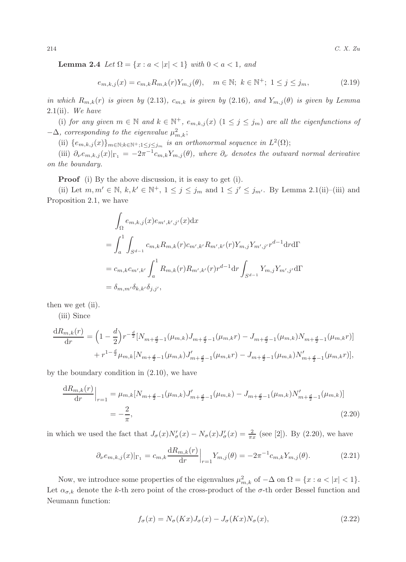Lemma 2.4 Let  $\Omega = \{x : a < |x| < 1\}$  with  $0 < a < 1$ , and

$$
e_{m,k,j}(x) = c_{m,k} R_{m,k}(r) Y_{m,j}(\theta), \quad m \in \mathbb{N}; \ k \in \mathbb{N}^+; \ 1 \le j \le j_m,
$$
 (2.19)

in which  $R_{m,k}(r)$  is given by (2.13),  $c_{m,k}$  is given by (2.16), and  $Y_{m,j}(\theta)$  is given by Lemma 2.1(ii). We have

(i) for any given  $m \in \mathbb{N}$  and  $k \in \mathbb{N}^+$ ,  $e_{m,k,j}(x)$   $(1 \leq j \leq j_m)$  are all the eigenfunctions of  $-\Delta$ , corresponding to the eigenvalue  $\mu_{m,k}^2$ ;

(ii)  $\{e_{m,k,j}(x)\}_{m\in\mathbb{N};k\in\mathbb{N}^+;1\leq j\leq j_m}$  is an orthonormal sequence in  $L^2(\Omega)$ ;

(iii)  $\partial_{\nu} e_{m,k,j}(x)|_{\Gamma_1} = -2\pi^{-1} c_{m,k} Y_{m,j}(\theta)$ , where  $\partial_{\nu}$  denotes the outward normal derivative on the boundary.

Proof (i) By the above discussion, it is easy to get (i).

(ii) Let  $m, m' \in \mathbb{N}, k, k' \in \mathbb{N}^+, 1 \le j \le j_m$  and  $1 \le j' \le j_{m'}$ . By Lemma 2.1(ii)–(iii) and Proposition 2.1, we have

$$
\int_{\Omega} e_{m,k,j}(x) e_{m',k',j'}(x) dx
$$
\n
$$
= \int_{a}^{1} \int_{S^{d-1}} c_{m,k} R_{m,k}(r) c_{m',k'} R_{m',k'}(r) Y_{m,j} Y_{m',j'} r^{d-1} dr d\Gamma
$$
\n
$$
= c_{m,k} c_{m',k'} \int_{a}^{1} R_{m,k}(r) R_{m',k'}(r) r^{d-1} dr \int_{S^{d-1}} Y_{m,j} Y_{m',j'} d\Gamma
$$
\n
$$
= \delta_{m,m'} \delta_{k,k'} \delta_{j,j'},
$$

then we get (ii).

(iii) Since

$$
\frac{\mathrm{d}R_{m,k}(r)}{\mathrm{d}r} = \left(1 - \frac{d}{2}\right)r^{-\frac{d}{2}}[N_{m+\frac{d}{2}-1}(\mu_{m,k})J_{m+\frac{d}{2}-1}(\mu_{m,k}r) - J_{m+\frac{d}{2}-1}(\mu_{m,k})N_{m+\frac{d}{2}-1}(\mu_{m,k}r)] + r^{1-\frac{d}{2}}\mu_{m,k}[N_{m+\frac{d}{2}-1}(\mu_{m,k})J'_{m+\frac{d}{2}-1}(\mu_{m,k}r) - J_{m+\frac{d}{2}-1}(\mu_{m,k})N'_{m+\frac{d}{2}-1}(\mu_{m,k}r)],
$$

by the boundary condition in (2.10), we have

$$
\frac{dR_{m,k}(r)}{dr}\Big|_{r=1} = \mu_{m,k}[N_{m+\frac{d}{2}-1}(\mu_{m,k})J'_{m+\frac{d}{2}-1}(\mu_{m,k}) - J_{m+\frac{d}{2}-1}(\mu_{m,k})N'_{m+\frac{d}{2}-1}(\mu_{m,k})]
$$
\n
$$
= -\frac{2}{\pi},
$$
\n(2.20)

in which we used the fact that  $J_{\sigma}(x)N'_{\sigma}(x) - N_{\sigma}(x)J'_{\sigma}(x) = \frac{2}{\pi x}$  (see [2]). By (2.20), we have

$$
\partial_{\nu} e_{m,k,j}(x)|_{\Gamma_1} = c_{m,k} \frac{\mathrm{d}R_{m,k}(r)}{\mathrm{d}r} \Big|_{r=1} Y_{m,j}(\theta) = -2\pi^{-1} c_{m,k} Y_{m,j}(\theta). \tag{2.21}
$$

Now, we introduce some properties of the eigenvalues  $\mu_{m,k}^2$  of  $-\Delta$  on  $\Omega = \{x : a < |x| < 1\}$ . Let  $\alpha_{\sigma,k}$  denote the k-th zero point of the cross-product of the  $\sigma$ -th order Bessel function and Neumann function:

$$
f_{\sigma}(x) = N_{\sigma}(Kx)J_{\sigma}(x) - J_{\sigma}(Kx)N_{\sigma}(x),
$$
\n(2.22)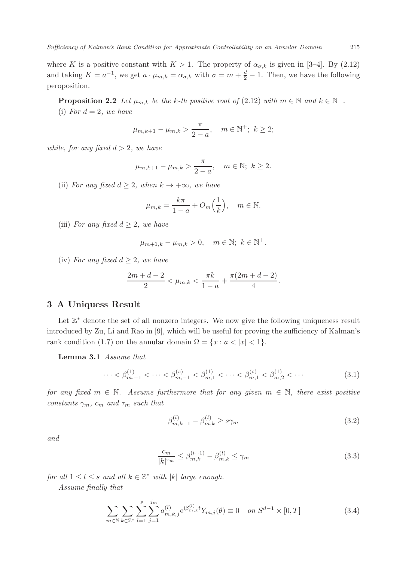where K is a positive constant with  $K > 1$ . The property of  $\alpha_{\sigma,k}$  is given in [3-4]. By (2.12) and taking  $K = a^{-1}$ , we get  $a \cdot \mu_{m,k} = \alpha_{\sigma,k}$  with  $\sigma = m + \frac{d}{2} - 1$ . Then, we have the following peroposition.

**Proposition 2.2** Let  $\mu_{m,k}$  be the k-th positive root of (2.12) with  $m \in \mathbb{N}$  and  $k \in \mathbb{N}^+$ . (i) For  $d = 2$ , we have

$$
\mu_{m,k+1} - \mu_{m,k} > \frac{\pi}{2-a}, \quad m \in \mathbb{N}^+; \ k \ge 2;
$$

while, for any fixed  $d > 2$ , we have

$$
\mu_{m,k+1} - \mu_{m,k} > \frac{\pi}{2 - a}, \quad m \in \mathbb{N}; \ k \ge 2.
$$

(ii) For any fixed  $d \geq 2$ , when  $k \to +\infty$ , we have

$$
\mu_{m,k} = \frac{k\pi}{1-a} + O_m\left(\frac{1}{k}\right), \quad m \in \mathbb{N}.
$$

(iii) For any fixed  $d \geq 2$ , we have

$$
\mu_{m+1,k} - \mu_{m,k} > 0, \quad m \in \mathbb{N}; \ k \in \mathbb{N}^+.
$$

(iv) For any fixed  $d \geq 2$ , we have

$$
\frac{2m+d-2}{2} < \mu_{m,k} < \frac{\pi k}{1-a} + \frac{\pi (2m+d-2)}{4}.
$$

# 3 A Uniquess Result

Let  $\mathbb{Z}^*$  denote the set of all nonzero integers. We now give the following uniqueness result introduced by Zu, Li and Rao in [9], which will be useful for proving the sufficiency of Kalman's rank condition (1.7) on the annular domain  $\Omega = \{x : a < |x| < 1\}.$ 

Lemma 3.1 Assume that

$$
\cdots < \beta_{m,-1}^{(1)} < \cdots < \beta_{m,-1}^{(s)} < \beta_{m,1}^{(1)} < \cdots < \beta_{m,1}^{(s)} < \beta_{m,2}^{(1)} < \cdots \tag{3.1}
$$

for any fixed  $m \in \mathbb{N}$ . Assume furthermore that for any given  $m \in \mathbb{N}$ , there exist positive constants  $\gamma_m$ ,  $c_m$  and  $\tau_m$  such that

$$
\beta_{m,k+1}^{(l)} - \beta_{m,k}^{(l)} \ge s\gamma_m \tag{3.2}
$$

and

$$
\frac{c_m}{|k|^{\tau_m}} \le \beta_{m,k}^{(l+1)} - \beta_{m,k}^{(l)} \le \gamma_m \tag{3.3}
$$

for all  $1 \leq l \leq s$  and all  $k \in \mathbb{Z}^*$  with  $|k|$  large enough.

Assume finally that

$$
\sum_{m \in \mathbb{N}} \sum_{k \in \mathbb{Z}^*} \sum_{l=1}^s \sum_{j=1}^{j_m} a_{m,k,j}^{(l)} e^{i\beta_{m,k}^{(l)}} Y_{m,j}(\theta) \equiv 0 \quad on \ S^{d-1} \times [0,T] \tag{3.4}
$$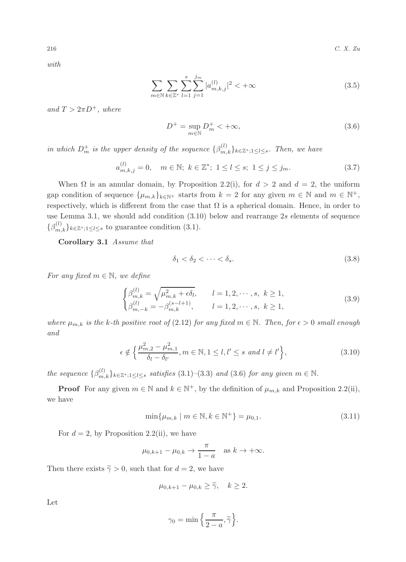216  $C. X. Zu$ 

with

$$
\sum_{m \in \mathbb{N}} \sum_{k \in \mathbb{Z}^*} \sum_{l=1}^s \sum_{j=1}^{j_m} |a_{m,k,j}^{(l)}|^2 < +\infty \tag{3.5}
$$

and  $T > 2\pi D^+$ , where

$$
D^{+} = \sup_{m \in \mathbb{N}} D_{m}^{+} < +\infty,\tag{3.6}
$$

in which  $D_m^+$  is the upper density of the sequence  $\{\beta_{m,k}^{(l)}\}_{k\in\mathbb{Z}^*;1\leq l\leq s}$ . Then, we have

$$
a_{m,k,j}^{(l)} = 0, \quad m \in \mathbb{N}; \ k \in \mathbb{Z}^*; \ 1 \le l \le s; \ 1 \le j \le j_m. \tag{3.7}
$$

When  $\Omega$  is an annular domain, by Proposition 2.2(i), for  $d > 2$  and  $d = 2$ , the uniform gap condition of sequence  $\{\mu_{m,k}\}_{k\in\mathbb{N}^+}$  starts from  $k=2$  for any given  $m \in \mathbb{N}$  and  $m \in \mathbb{N}^+$ , respectively, which is different from the case that  $\Omega$  is a spherical domain. Hence, in order to use Lemma 3.1, we should add condition (3.10) below and rearrange 2s elements of sequence  $\{\beta_{m,k}^{(l)}\}_{k\in\mathbb{Z}^*;1\leq l\leq s}$  to guarantee condition (3.1).

Corollary 3.1 Assume that

$$
\delta_1 < \delta_2 < \dots < \delta_s. \tag{3.8}
$$

For any fixed  $m \in \mathbb{N}$ , we define

$$
\begin{cases}\n\beta_{m,k}^{(l)} = \sqrt{\mu_{m,k}^2 + \epsilon \delta_l}, & l = 1, 2, \cdots, s, \ k \ge 1, \\
\beta_{m,-k}^{(l)} = -\beta_{m,k}^{(s-l+1)}, & l = 1, 2, \cdots, s, \ k \ge 1,\n\end{cases}
$$
\n(3.9)

where  $\mu_{m,k}$  is the k-th positive root of (2.12) for any fixed  $m \in \mathbb{N}$ . Then, for  $\epsilon > 0$  small enough and

$$
\epsilon \notin \left\{ \frac{\mu_{m,2}^2 - \mu_{m,1}^2}{\delta_l - \delta_{l'}}, m \in \mathbb{N}, 1 \le l, l' \le s \text{ and } l \ne l' \right\},\tag{3.10}
$$

the sequence  $\{\beta_{m,k}^{(l)}\}_{k\in\mathbb{Z}^*;1\leq l\leq s}$  satisfies  $(3.1)$ – $(3.3)$  and  $(3.6)$  for any given  $m \in \mathbb{N}$ .

**Proof** For any given  $m \in \mathbb{N}$  and  $k \in \mathbb{N}^+$ , by the definition of  $\mu_{m,k}$  and Proposition 2.2(ii), we have

$$
\min\{\mu_{m,k} \mid m \in \mathbb{N}, k \in \mathbb{N}^+\} = \mu_{0,1}.\tag{3.11}
$$

For  $d = 2$ , by Proposition 2.2(ii), we have

$$
\mu_{0,k+1} - \mu_{0,k} \to \frac{\pi}{1-a} \quad \text{as } k \to +\infty.
$$

Then there exists  $\tilde{\gamma} > 0$ , such that for  $d = 2$ , we have

$$
\mu_{0,k+1} - \mu_{0,k} \ge \tilde{\gamma}, \quad k \ge 2.
$$

Let

$$
\gamma_0 = \min\Big\{\frac{\pi}{2-a}, \widetilde{\gamma}\Big\}.
$$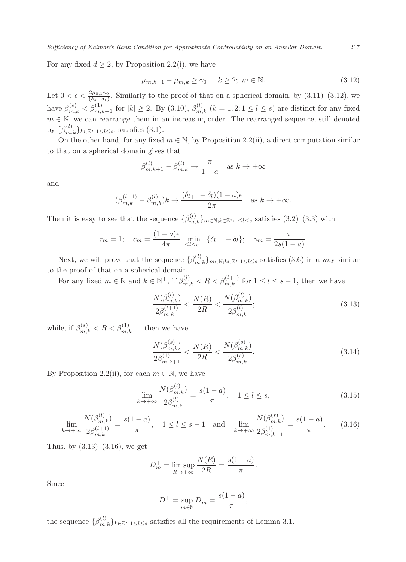For any fixed  $d \geq 2$ , by Proposition 2.2(i), we have

$$
\mu_{m,k+1} - \mu_{m,k} \ge \gamma_0, \quad k \ge 2; \ m \in \mathbb{N}.
$$
\n(3.12)

Let  $0 < \epsilon < \frac{2\mu_{0,1}\gamma_0}{(\delta_s - \delta_1)}$ . Similarly to the proof of that on a spherical domain, by  $(3.11)-(3.12)$ , we have  $\beta_{m,k}^{(s)} < \beta_{m,k+1}^{(1)}$  for  $|k| \ge 2$ . By (3.10),  $\beta_{m,k}^{(l)}$   $(k = 1, 2; 1 \le l \le s)$  are distinct for any fixed  $m \in \mathbb{N}$ , we can rearrange them in an increasing order. The rearranged sequence, still denoted by  $\{\beta_{m,k}^{(l)}\}_{k\in\mathbb{Z}^*;1\leq l\leq s}$ , satisfies  $(3.1)$ .

On the other hand, for any fixed  $m \in \mathbb{N}$ , by Proposition 2.2(ii), a direct computation similar to that on a spherical domain gives that

$$
\beta_{m,k+1}^{(l)} - \beta_{m,k}^{(l)} \to \frac{\pi}{1-a} \quad \text{as } k \to +\infty
$$

and

$$
(\beta_{m,k}^{(l+1)} - \beta_{m,k}^{(l)})k \to \frac{(\delta_{l+1} - \delta_l)(1 - a)\epsilon}{2\pi} \quad \text{as } k \to +\infty.
$$

Then it is easy to see that the sequence  $\{\beta_{m,k}^{(l)}\}_{m\in\mathbb{N};k\in\mathbb{Z}^*,1\leq l\leq s}$  satisfies  $(3.2)$ – $(3.3)$  with

$$
\tau_m = 1;
$$
\n $c_m = \frac{(1-a)\epsilon}{4\pi} \min_{1 \le l \le s-1} \{\delta_{l+1} - \delta_l\};$ \n $\gamma_m = \frac{\pi}{2s(1-a)}.$ 

Next, we will prove that the sequence  $\{\beta_{m,k}^{(l)}\}_{m\in\mathbb{N};k\in\mathbb{Z}^*;1\leq l\leq s}$  satisfies (3.6) in a way similar to the proof of that on a spherical domain.

For any fixed  $m \in \mathbb{N}$  and  $k \in \mathbb{N}^+$ , if  $\beta_{m,k}^{(l)} < R < \beta_{m,k}^{(l+1)}$  for  $1 \le l \le s-1$ , then we have

$$
\frac{N(\beta_{m,k}^{(l)})}{2\beta_{m,k}^{(l+1)}} < \frac{N(R)}{2R} < \frac{N(\beta_{m,k}^{(l)})}{2\beta_{m,k}^{(l)}}; \tag{3.13}
$$

while, if  $\beta_{m,k}^{(s)} < R < \beta_{m,k+1}^{(1)}$ , then we have

$$
\frac{N(\beta_{m,k}^{(s)})}{2\beta_{m,k+1}^{(1)}} < \frac{N(R)}{2R} < \frac{N(\beta_{m,k}^{(s)})}{2\beta_{m,k}^{(s)}}.\tag{3.14}
$$

By Proposition 2.2(ii), for each  $m \in \mathbb{N}$ , we have

$$
\lim_{k \to +\infty} \frac{N(\beta_{m,k}^{(l)})}{2\beta_{m,k}^{(l)}} = \frac{s(1-a)}{\pi}, \quad 1 \le l \le s,
$$
\n(3.15)

$$
\lim_{k \to +\infty} \frac{N(\beta_{m,k}^{(l)})}{2\beta_{m,k}^{(l+1)}} = \frac{s(1-a)}{\pi}, \quad 1 \le l \le s-1 \quad \text{and} \quad \lim_{k \to +\infty} \frac{N(\beta_{m,k}^{(s)})}{2\beta_{m,k+1}^{(1)}} = \frac{s(1-a)}{\pi}.
$$
 (3.16)

Thus, by  $(3.13)$ – $(3.16)$ , we get

$$
D_m^+ = \limsup_{R \to +\infty} \frac{N(R)}{2R} = \frac{s(1-a)}{\pi}.
$$

Since

$$
D^{+} = \sup_{m \in \mathbb{N}} D_{m}^{+} = \frac{s(1-a)}{\pi},
$$

the sequence  $\{\beta_{m,k}^{(l)}\}_{k\in\mathbb{Z}^*,1\leq l\leq s}$  satisfies all the requirements of Lemma 3.1.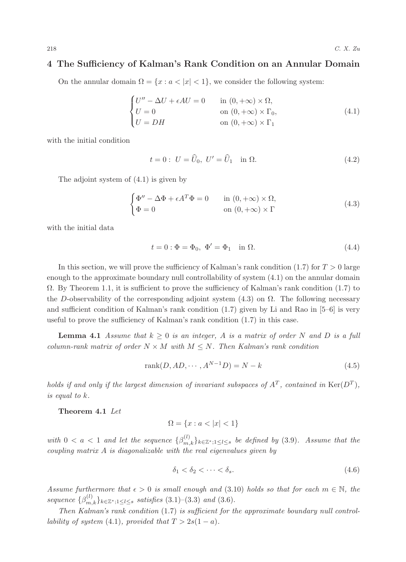### 4 The Sufficiency of Kalman's Rank Condition on an Annular Domain

On the annular domain  $\Omega = \{x : a < |x| < 1\}$ , we consider the following system:

$$
\begin{cases}\nU'' - \Delta U + \epsilon A U = 0 & \text{in } (0, +\infty) \times \Omega, \\
U = 0 & \text{on } (0, +\infty) \times \Gamma_0, \\
U = DH & \text{on } (0, +\infty) \times \Gamma_1\n\end{cases}
$$
\n(4.1)

with the initial condition

$$
t = 0: U = \hat{U}_0, U' = \hat{U}_1 \text{ in } \Omega.
$$
 (4.2)

The adjoint system of (4.1) is given by

$$
\begin{cases} \Phi'' - \Delta \Phi + \epsilon A^T \Phi = 0 & \text{in } (0, +\infty) \times \Omega, \\ \Phi = 0 & \text{on } (0, +\infty) \times \Gamma \end{cases}
$$
(4.3)

with the initial data

$$
t = 0: \Phi = \Phi_0, \ \Phi' = \Phi_1 \quad \text{in } \Omega. \tag{4.4}
$$

In this section, we will prove the sufficiency of Kalman's rank condition  $(1.7)$  for  $T > 0$  large enough to the approximate boundary null controllability of system (4.1) on the annular domain  $\Omega$ . By Theorem 1.1, it is sufficient to prove the sufficiency of Kalman's rank condition (1.7) to the D-observability of the corresponding adjoint system  $(4.3)$  on  $\Omega$ . The following necessary and sufficient condition of Kalman's rank condition (1.7) given by Li and Rao in [5–6] is very useful to prove the sufficiency of Kalman's rank condition (1.7) in this case.

**Lemma 4.1** Assume that  $k \geq 0$  is an integer, A is a matrix of order N and D is a full column-rank matrix of order  $N \times M$  with  $M \leq N$ . Then Kalman's rank condition

$$
rank(D, AD, \cdots, A^{N-1}D) = N - k \tag{4.5}
$$

holds if and only if the largest dimension of invariant subspaces of  $A<sup>T</sup>$ , contained in  $\text{Ker}(D<sup>T</sup>)$ , is equal to k.

Theorem 4.1 Let

$$
\Omega = \{x : a < |x| < 1\}
$$

with  $0 < a < 1$  and let the sequence  $\{\beta_{m,k}^{(l)}\}_{k \in \mathbb{Z}^*; 1 \leq l \leq s}$  be defined by (3.9). Assume that the coupling matrix A is diagonalizable with the real eigenvalues given by

$$
\delta_1 < \delta_2 < \dots < \delta_s. \tag{4.6}
$$

Assume furthermore that  $\epsilon > 0$  is small enough and (3.10) holds so that for each  $m \in \mathbb{N}$ , the sequence  $\{\beta_{m,k}^{(l)}\}_{k\in\mathbb{Z}^*;1\leq l\leq s}$  satisfies  $(3.1)$ – $(3.3)$  and  $(3.6)$ .

Then Kalman's rank condition (1.7) is sufficient for the approximate boundary null controllability of system (4.1), provided that  $T > 2s(1 - a)$ .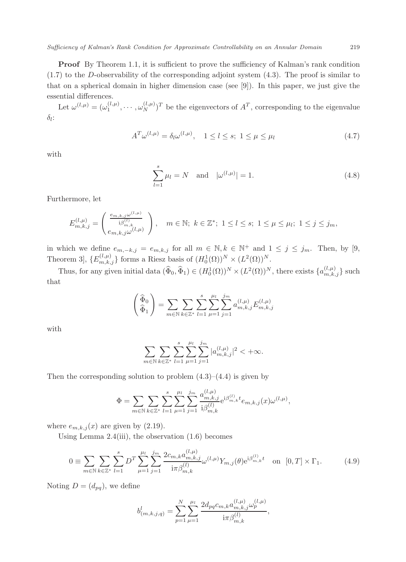**Proof** By Theorem 1.1, it is sufficient to prove the sufficiency of Kalman's rank condition  $(1.7)$  to the D-observability of the corresponding adjoint system  $(4.3)$ . The proof is similar to that on a spherical domain in higher dimension case (see [9]). In this paper, we just give the essential differences.

Let  $\omega^{(l,\mu)} = (\omega_1^{(l,\mu)}, \cdots, \omega_N^{(l,\mu)})^T$  be the eigenvectors of  $A^T$ , corresponding to the eigenvalue  $\delta_l$ :

$$
A^T \omega^{(l,\mu)} = \delta_l \omega^{(l,\mu)}, \quad 1 \le l \le s; \ 1 \le \mu \le \mu_l \tag{4.7}
$$

with

$$
\sum_{l=1}^{s} \mu_l = N \text{ and } |\omega^{(l,\mu)}| = 1.
$$
 (4.8)

Furthermore, let

$$
E_{m,k,j}^{(l,\mu)} = \begin{pmatrix} \frac{e_{m,k,j}\omega^{(l,\mu)}}{i\beta_{m,k}^{(l)}}\\ e_{m,k,j}\omega^{(l,\mu)} \end{pmatrix}, \quad m \in \mathbb{N}; \ k \in \mathbb{Z}^*; \ 1 \leq l \leq s; \ 1 \leq \mu \leq \mu_l; \ 1 \leq j \leq j_m,
$$

in which we define  $e_{m,-k,j} = e_{m,k,j}$  for all  $m \in \mathbb{N}, k \in \mathbb{N}^+$  and  $1 \leq j \leq j_m$ . Then, by [9, Theorem 3],  $\{E_{m,k,j}^{(l,\mu)}\}$  forms a Riesz basis of  $(H_0^1(\Omega))^N \times (L^2(\Omega))^N$ .

Thus, for any given initial data  $(\widehat{\Phi}_0, \widehat{\Phi}_1) \in (H_0^1(\Omega))^N \times (L^2(\Omega))^N$ , there exists  $\{a_{m,k,j}^{(l,\mu)}\}$  such that

$$
\left(\begin{matrix} \widehat{\Phi}_0\\ \widehat{\Phi}_1 \end{matrix}\right) = \sum_{m \in \mathbb{N}} \sum_{k \in \mathbb{Z}^*} \sum_{l=1}^s \sum_{\mu=1}^{\mu_l} \sum_{j=1}^{j_m} a_{m,k,j}^{(l,\mu)} E_{m,k,j}^{(l,\mu)}
$$

with

$$
\sum_{m \in \mathbb{N}} \sum_{k \in \mathbb{Z}^*} \sum_{l=1}^s \sum_{\mu=1}^{\mu_l} \sum_{j=1}^{j_m} |a_{m,k,j}^{(l,\mu)}|^2 < +\infty.
$$

Then the corresponding solution to problem  $(4.3)$ – $(4.4)$  is given by

$$
\Phi = \sum_{m \in \mathbb{N}} \sum_{k \in \mathbb{Z}^*} \sum_{l=1}^s \sum_{\mu=1}^{\mu_l} \sum_{j=1}^{j_m} \frac{a_{m,k,j}^{(l,\mu)}}{\mathrm{i} \beta_{m,k}^{(l)}} \mathrm{e}^{\mathrm{i} \beta_{m,k}^{(l)} t} e_{m,k,j}(x) \omega^{(l,\mu)},
$$

where  $e_{m,k,j}(x)$  are given by (2.19).

Using Lemma 2.4(iii), the observation (1.6) becomes

$$
0 \equiv \sum_{m \in \mathbb{N}} \sum_{k \in \mathbb{Z}^*} \sum_{l=1}^s D^T \sum_{\mu=1}^{\mu_l} \sum_{j=1}^{j_m} \frac{2c_{m,k} a_{m,k,j}^{(l,\mu)}}{\mathrm{i} \pi \beta_{m,k}^{(l)}} \omega^{(l,\mu)} Y_{m,j}(\theta) \mathrm{e}^{\mathrm{i} \beta_{m,k}^{(l)}} \quad \text{on} \quad [0,T] \times \Gamma_1. \tag{4.9}
$$

Noting  $D = (d_{pq})$ , we define

$$
b_{(m,k,j,q)}^l = \sum_{p=1}^N \sum_{\mu=1}^{\mu_l} \frac{2d_{pq}c_{m,k}a_{m,k,j}^{(l,\mu)}\omega_p^{(l,\mu)}}{\mathrm{i}\pi\beta_{m,k}^{(l)}},
$$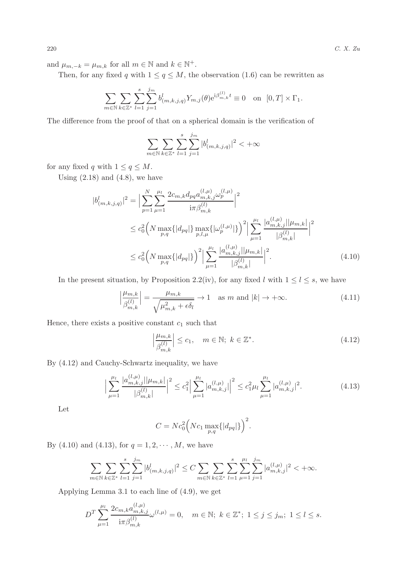and  $\mu_{m,-k} = \mu_{m,k}$  for all  $m \in \mathbb{N}$  and  $k \in \mathbb{N}^+$ .

Then, for any fixed q with  $1 \le q \le M$ , the observation (1.6) can be rewritten as

$$
\sum_{m \in \mathbb{N}} \sum_{k \in \mathbb{Z}^*} \sum_{l=1}^s \sum_{j=1}^{j_m} b^l_{(m,k,j,q)} Y_{m,j}(\theta) e^{i \beta_{m,k}^{(l)}} t \equiv 0 \text{ on } [0,T] \times \Gamma_1.
$$

The difference from the proof of that on a spherical domain is the verification of

$$
\sum_{m\in\mathbb{N}}\sum_{k\in\mathbb{Z}^*}\sum_{l=1}^s\sum_{j=1}^{j_m}|b^l_{(m,k,j,q)}|^2<+\infty
$$

for any fixed q with  $1 \le q \le M$ .

 $\overline{\phantom{a}}$ 

Using  $(2.18)$  and  $(4.8)$ , we have

$$
b_{(m,k,j,q)}^{l}|^{2} = \Big| \sum_{p=1}^{N} \sum_{\mu=1}^{\mu_{l}} \frac{2c_{m,k} d_{pq} a_{m,k,j}^{(l,\mu)} \omega_{p}^{(l,\mu)}}{\mathrm{i} \pi \beta_{m,k}^{(l)}} \Big|^{2}
$$
  

$$
\leq c_{0}^{2} \Big( N \max_{p,q} \{ |d_{pq}| \} \max_{p,l,\mu} \{ |\omega_{p}^{(l,\mu)}| \} \Big)^{2} \Big| \sum_{\mu=1}^{\mu_{l}} \frac{|a_{m,k,j}^{(l,\mu)}||\mu_{m,k}|}{|\beta_{m,k}^{(l)}|} \Big|^{2}
$$
  

$$
\leq c_{0}^{2} \Big( N \max_{p,q} \{ |d_{pq}| \} \Big)^{2} \Big| \sum_{\mu=1}^{\mu_{l}} \frac{|a_{m,k,j}^{(l,\mu)}||\mu_{m,k}|}{|\beta_{m,k}^{(l)}|} \Big|^{2}.
$$
 (4.10)

In the present situation, by Proposition 2.2(iv), for any fixed l with  $1 \leq l \leq s$ , we have

$$
\left|\frac{\mu_{m,k}}{\beta_{m,k}^{(l)}}\right| = \frac{\mu_{m,k}}{\sqrt{\mu_{m,k}^2 + \epsilon \delta_l}} \to 1 \quad \text{as } m \text{ and } |k| \to +\infty. \tag{4.11}
$$

Hence, there exists a positive constant  $c_1$  such that

$$
\left|\frac{\mu_{m,k}}{\beta_{m,k}^{(l)}}\right| \le c_1, \quad m \in \mathbb{N}; \ k \in \mathbb{Z}^*.
$$
\n(4.12)

By (4.12) and Cauchy-Schwartz inequality, we have

$$
\Big| \sum_{\mu=1}^{\mu_l} \frac{|a_{m,k,j}^{(l,\mu)}||\mu_{m,k}|}{|\beta_{m,k}^{(l)}|} \Big|^2 \le c_1^2 \Big| \sum_{\mu=1}^{\mu_l} |a_{m,k,j}^{(l,\mu)}| \Big|^2 \le c_1^2 \mu_l \sum_{\mu=1}^{\mu_l} |a_{m,k,j}^{(l,\mu)}|^2. \tag{4.13}
$$

Let

$$
C = Nc_0^2 \Big( Nc_1 \max_{p,q} \{|d_{pq}|\} \Big)^2.
$$

By (4.10) and (4.13), for  $q = 1, 2, \dots, M$ , we have

$$
\sum_{m\in\mathbb{N}}\sum_{k\in\mathbb{Z}^*}\sum_{l=1}^s\sum_{j=1}^{j_m}|b^l_{(m,k,j,q)}|^2\leq C\sum_{m\in\mathbb{N}}\sum_{k\in\mathbb{Z}^*}\sum_{l=1}^s\sum_{\mu=1}^{\mu_l}\sum_{j=1}^{j_m}|a^{(l,\mu)}_{m,k,j}|^2<+\infty.
$$

Applying Lemma 3.1 to each line of (4.9), we get

$$
D^{T} \sum_{\mu=1}^{\mu_{l}} \frac{2c_{m,k}a_{m,k,j}^{(l,\mu)}}{\mathrm{i}\pi\beta_{m,k}^{(l)}}\omega^{(l,\mu)} = 0, \quad m \in \mathbb{N};\ k \in \mathbb{Z}^{*};\ 1 \leq j \leq j_{m};\ 1 \leq l \leq s.
$$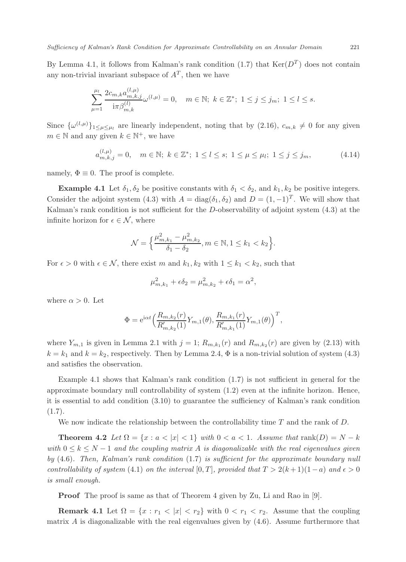By Lemma 4.1, it follows from Kalman's rank condition  $(1.7)$  that  $Ker(D<sup>T</sup>)$  does not contain any non-trivial invariant subspace of  $A<sup>T</sup>$ , then we have

$$
\sum_{\mu=1}^{\mu_l} \frac{2c_{m,k} a_{m,k,j}^{(l,\mu)}}{\mathrm{i} \pi \beta_{m,k}^{(l)}} \omega^{(l,\mu)} = 0, \quad m \in \mathbb{N}; \ k \in \mathbb{Z}^*; \ 1 \le j \le j_m; \ 1 \le l \le s.
$$

Since  $\{\omega^{(l,\mu)}\}_{1\leq \mu \leq \mu_l}$  are linearly independent, noting that by  $(2.16)$ ,  $c_{m,k}\neq 0$  for any given  $m \in \mathbb{N}$  and any given  $k \in \mathbb{N}^+$ , we have

$$
a_{m,k,j}^{(l,\mu)} = 0, \quad m \in \mathbb{N}; \ k \in \mathbb{Z}^*; \ 1 \le l \le s; \ 1 \le \mu \le \mu_l; \ 1 \le j \le j_m,
$$
 (4.14)

namely,  $\Phi \equiv 0$ . The proof is complete.

**Example 4.1** Let  $\delta_1, \delta_2$  be positive constants with  $\delta_1 < \delta_2$ , and  $k_1, k_2$  be positive integers. Consider the adjoint system (4.3) with  $A = diag(\delta_1, \delta_2)$  and  $D = (1, -1)^T$ . We will show that Kalman's rank condition is not sufficient for the D-observability of adjoint system (4.3) at the infinite horizon for  $\epsilon \in \mathcal{N}$ , where

$$
\mathcal{N} = \left\{ \frac{\mu_{m,k_1}^2 - \mu_{m,k_2}^2}{\delta_1 - \delta_2}, m \in \mathbb{N}, 1 \le k_1 < k_2 \right\}.
$$

For  $\epsilon > 0$  with  $\epsilon \in \mathcal{N}$ , there exist m and  $k_1, k_2$  with  $1 \leq k_1 < k_2$ , such that

$$
\mu_{m,k_1}^2 + \epsilon \delta_2 = \mu_{m,k_2}^2 + \epsilon \delta_1 = \alpha^2,
$$

where  $\alpha > 0$ . Let

$$
\Phi = e^{i\alpha t} \left( \frac{R_{m,k_2}(r)}{R'_{m,k_2}(1)} Y_{m,1}(\theta), \frac{R_{m,k_1}(r)}{R'_{m,k_1}(1)} Y_{m,1}(\theta) \right)^T,
$$

where  $Y_{m,1}$  is given in Lemma 2.1 with  $j = 1$ ;  $R_{m,k_1}(r)$  and  $R_{m,k_2}(r)$  are given by (2.13) with  $k = k_1$  and  $k = k_2$ , respectively. Then by Lemma 2.4,  $\Phi$  is a non-trivial solution of system (4.3) and satisfies the observation.

Example 4.1 shows that Kalman's rank condition (1.7) is not sufficient in general for the approximate boundary null controllability of system (1.2) even at the infinite horizon. Hence, it is essential to add condition (3.10) to guarantee the sufficiency of Kalman's rank condition  $(1.7).$ 

We now indicate the relationship between the controllability time  $T$  and the rank of  $D$ .

**Theorem 4.2** Let  $\Omega = \{x : a < |x| < 1\}$  with  $0 < a < 1$ . Assume that rank $(D) = N - k$ with  $0 \leq k \leq N-1$  and the coupling matrix A is diagonalizable with the real eigenvalues given by (4.6). Then, Kalman's rank condition (1.7) is sufficient for the approximate boundary null controllability of system (4.1) on the interval [0, T], provided that  $T > 2(k+1)(1-a)$  and  $\epsilon > 0$ is small enough.

**Proof** The proof is same as that of Theorem 4 given by Zu, Li and Rao in [9].

Remark 4.1 Let  $\Omega = \{x : r_1 < |x| < r_2\}$  with  $0 < r_1 < r_2$ . Assume that the coupling matrix A is diagonalizable with the real eigenvalues given by  $(4.6)$ . Assume furthermore that